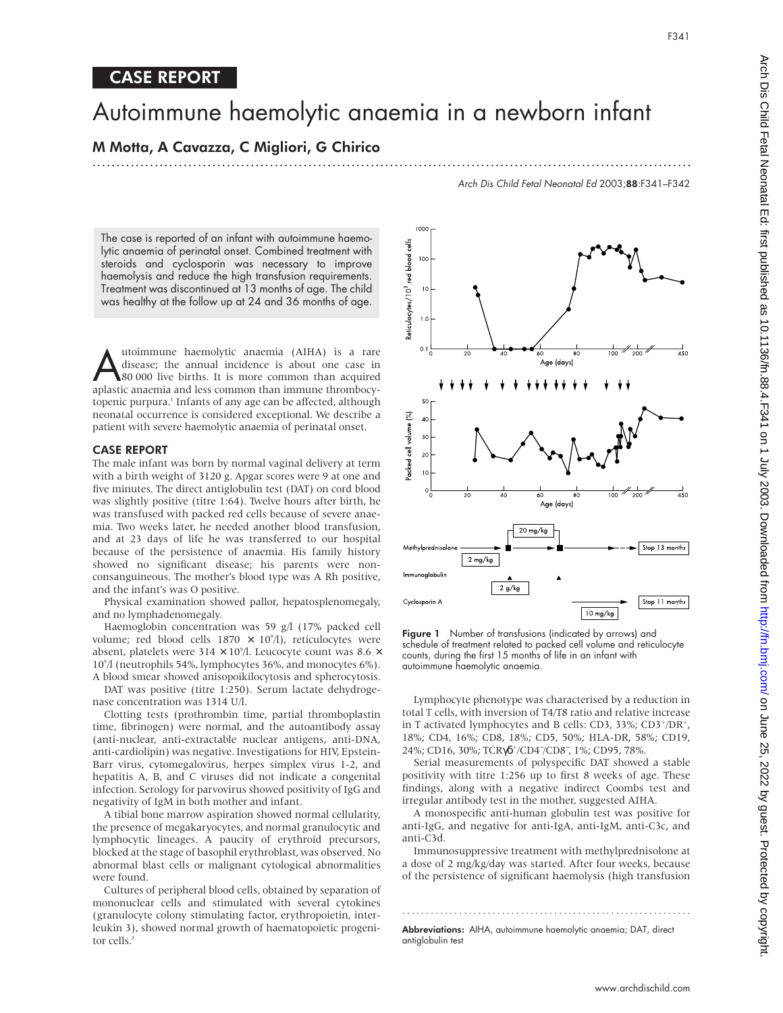# CASE REPORT

# Autoimmune haemolytic anaemia in a newborn infant

## M Motta, A Cavazza, C Migliori, G Chirico

.............................................................................................................................

Arch Dis Child Fetal Neonatal Ed 2003;88:F341–F342

The case is reported of an infant with autoimmune haemolytic anaemia of perinatal onset. Combined treatment with steroids and cyclosporin was necessary to improve haemolysis and reduce the high transfusion requirements. Treatment was discontinued at 13 months of age. The child was healthy at the follow up at 24 and 36 months of age.

Mutoimmune haemolytic anaemia (AIHA) is a rare<br>disease; the annual incidence is about one case in<br>80 000 live births. It is more common than acquired<br>aplastic anaemia and less common than immune thrombocy. disease; the annual incidence is about one case in aplastic anaemia and less common than immune thrombocytopenic purpura.<sup>1</sup> Infants of any age can be affected, although neonatal occurrence is considered exceptional. We describe a patient with severe haemolytic anaemia of perinatal onset.

## CASE REPORT

The male infant was born by normal vaginal delivery at term with a birth weight of 3120 g. Apgar scores were 9 at one and five minutes. The direct antiglobulin test (DAT) on cord blood was slightly positive (titre 1:64). Twelve hours after birth, he was transfused with packed red cells because of severe anaemia. Two weeks later, he needed another blood transfusion, and at 23 days of life he was transferred to our hospital because of the persistence of anaemia. His family history showed no significant disease; his parents were nonconsanguineous. The mother's blood type was A Rh positive, and the infant's was O positive.

Physical examination showed pallor, hepatosplenomegaly, and no lymphadenomegaly.

Haemoglobin concentration was 59 g/l (17% packed cell volume; red blood cells  $1870 \times 10^9$ /l), reticulocytes were absent, platelets were 314  $\times$  10°/l. Leucocyte count was 8.6  $\times$ 109 /l (neutrophils 54%, lymphocytes 36%, and monocytes 6%). A blood smear showed anisopoikilocytosis and spherocytosis.

DAT was positive (titre 1:250). Serum lactate dehydrogenase concentration was 1314 U/l.

Clotting tests (prothrombin time, partial thromboplastin time, fibrinogen) were normal, and the autoantibody assay (anti-nuclear, anti-extractable nuclear antigens, anti-DNA, anti-cardiolipin) was negative. Investigations for HIV, Epstein-Barr virus, cytomegalovirus, herpes simplex virus 1-2, and hepatitis A, B, and C viruses did not indicate a congenital infection. Serology for parvovirus showed positivity of IgG and negativity of IgM in both mother and infant.

A tibial bone marrow aspiration showed normal cellularity, the presence of megakaryocytes, and normal granulocytic and lymphocytic lineages. A paucity of erythroid precursors, blocked at the stage of basophil erythroblast, was observed. No abnormal blast cells or malignant cytological abnormalities were found.

Cultures of peripheral blood cells, obtained by separation of mononuclear cells and stimulated with several cytokines (granulocyte colony stimulating factor, erythropoietin, interleukin 3), showed normal growth of haematopoietic progenitor cells.<sup>2</sup>



Figure 1 Number of transfusions (indicated by arrows) and schedule of treatment related to packed cell volume and reticulocyte counts, during the first 15 months of life in an infant with autoimmune haemolytic anaemia.

Lymphocyte phenotype was characterised by a reduction in total T cells, with inversion of T4/T8 ratio and relative increase in T activated lymphocytes and B cells: CD3, 33%; CD3+/DR+, 18%; CD4, 16%; CD8, 18%; CD5, 50%; HLA-DR, 58%; CD19, 24%; CD16, 30%; TCRγδ<sup>+</sup>/CD4<sup>-</sup>/CD8<sup>-</sup>, 1%; CD95, 78%.

Serial measurements of polyspecific DAT showed a stable positivity with titre 1:256 up to first 8 weeks of age. These findings, along with a negative indirect Coombs test and irregular antibody test in the mother, suggested AIHA.

A monospecific anti-human globulin test was positive for anti-IgG, and negative for anti-IgA, anti-IgM, anti-C3c, and anti-C3d.

Immunosuppressive treatment with methylprednisolone at a dose of 2 mg/kg/day was started. After four weeks, because of the persistence of significant haemolysis (high transfusion

.............................................................

Abbreviations: AIHA, autoimmune haemolytic anaemia; DAT, direct antiglobulin test